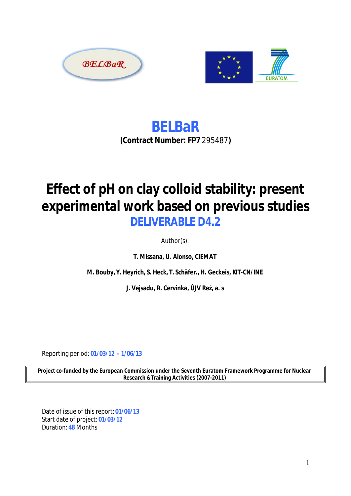



**BELBaR (Contract Number: FP7** *295487***)**

# **Effect of pH on clay colloid stability: present experimental work based on previous studies DELIVERABLE D4.2**

Author(s):

**T. Missana, U. Alonso, CIEMAT**

**M. Bouby, Y. Heyrich, S. Heck, T. Schäfer., H. Geckeis, KIT-CN/INE**

**J. Vejsadu, R. Cervinka, ÚJV Rež, a. s**

Reporting period: **01/03/12 – 1/06/13**

**Project co-funded by the European Commission under the Seventh Euratom Framework Programme for Nuclear Research &Training Activities (2007-2011)**

Date of issue of this report: **01/06/13** Start date of project: **01/03/12** Duration: **48** Months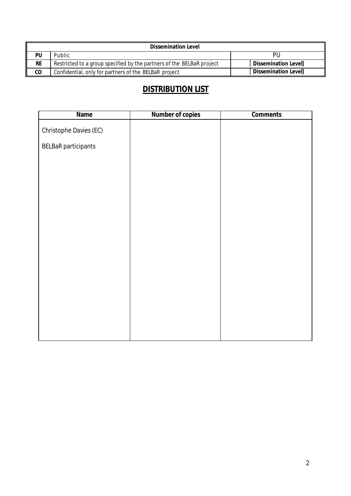| <b>Dissemination Level</b> |                                                                       |                             |  |  |  |  |  |  |
|----------------------------|-----------------------------------------------------------------------|-----------------------------|--|--|--|--|--|--|
| PU                         | Public                                                                | PU                          |  |  |  |  |  |  |
| <b>RE</b>                  | Restricted to a group specified by the partners of the BELBaR project | Dissemination Level         |  |  |  |  |  |  |
| co                         | Confidential, only for partners of the BELBaR project                 | <b>Dissemination Levell</b> |  |  |  |  |  |  |

# **DISTRIBUTION LIST**

| <b>Name</b>                | <b>Number of copies</b> | <b>Comments</b> |
|----------------------------|-------------------------|-----------------|
| Christophe Davies (EC)     |                         |                 |
| <b>BELBaR</b> participants |                         |                 |
|                            |                         |                 |
|                            |                         |                 |
|                            |                         |                 |
|                            |                         |                 |
|                            |                         |                 |
|                            |                         |                 |
|                            |                         |                 |
|                            |                         |                 |
|                            |                         |                 |
|                            |                         |                 |
|                            |                         |                 |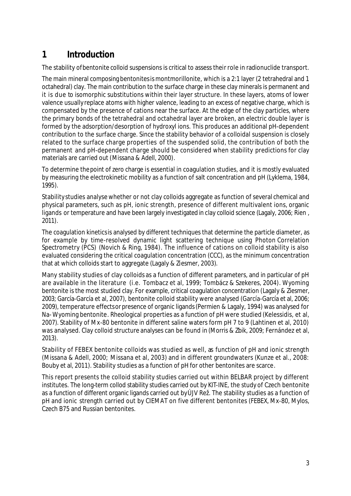# **1 Introduction**

The stability of bentonite colloid suspensions is critical to assess their role in radionuclide transport.

The main mineral composing bentonites is montmorillonite, which is a 2:1 layer (2 tetrahedral and 1 octahedral) clay. The main contribution to the surface charge in these clay minerals is permanent and it is due to isomorphic substitutions within their layer structure. In these layers, atoms of lower valence usually replace atoms with higher valence, leading to an excess of negative charge, which is compensated by the presence of cations near the surface. At the edge of the clay particles, where the primary bonds of the tetrahedral and octahedral layer are broken, an electric double layer is formed by the adsorption/desorption of hydroxyl ions. This produces an additional pH-dependent contribution to the surface charge. Since the stability behavior of a colloidal suspension is closely related to the surface charge properties of the suspended solid, the contribution of both the permanent and pH-dependent charge should be considered when stability predictions for clay materials are carried out (Missana & Adell, 2000).

To determine the point of zero charge is essential in coagulation studies, and it is mostly evaluated by measuring the electrokinetic mobility as a function of salt concentration and pH (Lyklema, 1984, 1995).

Stability studies analyse whether or not clay colloids aggregate as function of several chemical and physical parameters, such as pH, ionic strength, presence of different multivalent ions, organic ligands or temperature and have been largely investigated in clay colloid science (Lagaly, 2006; Rien , 2011).

The coagulation kinetics is analysed by different techniques that determine the particle diameter, as for example by time-resolved dynamic light scattering technique using Photon Correlation Spectrometry (PCS) (Novich & Ring, 1984). The influence of cations on colloid stability is also evaluated considering the critical coagulation concentration (CCC), as the minimum concentration that at which colloids start to aggregate (Lagaly & Ziesmer, 2003).

Many stability studies of clay colloids as a function of different parameters, and in particular of pH are available in the literature (i.e. Tombacz et al, 1999; Tombácz & Szekeres, 2004). Wyoming bentonite is the most studied clay. For example, critical coagulation concentration (Lagaly & Ziesmer, 2003; García-García et al, 2007), bentonite colloid stability were analysed (García-García et al, 2006; 2009), temperature effects or presence of organic ligands(Permien & Lagaly, 1994) was analysed for Na- Wyoming bentonite. Rheological properties as a function of pH were studied (Kelessidis, et al, 2007). Stability of Mx-80 bentonite in different saline waters form pH 7 to 9 (Lahtinen et al, 2010) was analysed. Clay colloid structure analyses can be found in (Morris & Zbik, 2009; Fernández et al, 2013).

Stability of FEBEX bentonite colloids was studied as well, as function of pH and ionic strength (Missana & Adell, 2000; Missana et al, 2003) and in different groundwaters (Kunze et al., 2008: Bouby et al, 2011). Stability studies as a function of pH for other bentonites are scarce.

This report presents the colloid stability studies carried out within BELBAR project by different institutes. The long-term collod stability studies carried out by KIT-INE, the study of Czech bentonite as a function of different organic ligands carried out by ÚJV Rež. The stability studies as a function of pH and ionic strength carried out by CIEMAT on five different bentonites (FEBEX, Mx-80, Mylos, Czech B75 and Russian bentonites.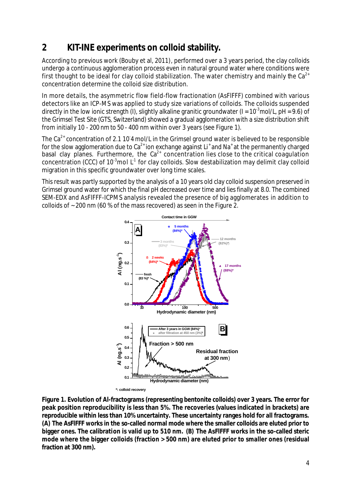# **2 KIT-INE experiments on colloid stability.**

According to previous work (Bouby et al, 2011), performed over a 3 years period, the clay colloids undergo a continuous agglomeration process even in natural ground water where conditions were first thought to be ideal for clay colloid stabilization. The water chemistry and mainly the  $Ca^{2+}$ concentration determine the colloid size distribution.

In more details, the asymmetric flow field-flow fractionation (AsFlFFF) combined with various detectors like an ICP-MS was applied to study size variations of colloids. The colloids suspended directly in the low ionic strength (I), slightly alkaline granitic groundwater (I =  $10^{-3}$ mol/L, pH = 9.6) of the Grimsel Test Site (GTS, Switzerland) showed a gradual agglomeration with a size distribution shift from initially 10 - 200 nm to 50 - 400 nm within over 3 years (see Figure 1).

The Ca<sup>2+</sup> concentration of 2.1 10 4 mol/L in the Grimsel ground water is believed to be responsible for the slow agglomeration due to Ca<sup>2+</sup> ion exchange against Li<sup>+</sup> and Na<sup>+</sup> at the permanently charged basal clay planes. Furthermore, the  $Ca<sup>2+</sup>$  concentration lies close to the critical coagulation concentration (CCC) of 10<sup>-3</sup>mol L<sup>-1</sup> for clay colloids. Slow destabilization may delimit clay colloid migration in this specific groundwater over long time scales.

This result was partly supported by the analysis of a 10 years old clay colloid suspension preserved in Grimsel ground water for which the final pH decreased over time and lies finally at 8.0. The combined SEM-EDX and AsFlFFF-ICPMS analysis revealed the presence of big agglomerates in addition to colloids of ~ 200 nm (60 % of the mass recovered) as seen in the Figure 2.



**Figure 1. Evolution of Al-fractograms (representing bentonite colloids) over 3 years. The error for peak position reproducibility is less than 5%. The recoveries (values indicated in brackets) are reproducible within less than 10% uncertainty. These uncertainty ranges hold for all fractograms. (A) The AsFlFFF works in the so-called normal mode where the smaller colloids are eluted prior to bigger ones. The calibration is valid up to 510 nm. (B) The AsFlFFF works in the so-called steric mode where the bigger colloids (fraction > 500 nm) are eluted prior to smaller ones (residual fraction at 300 nm).**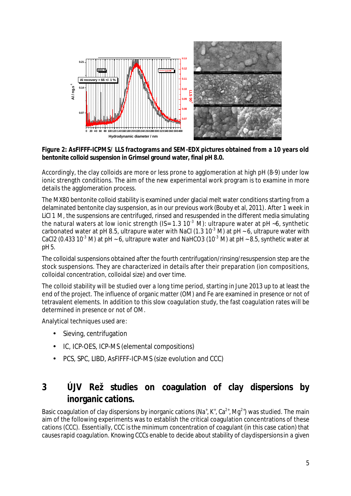

#### **Figure 2: AsFlFFF-ICPMS/ LLS fractograms and SEM-EDX pictures obtained from a 10 years old bentonite colloid suspension in Grimsel ground water, final pH 8.0.**

Accordingly, the clay colloids are more or less prone to agglomeration at high pH (8-9) under low ionic strength conditions. The aim of the new experimental work program is to examine in more details the agglomeration process.

The MX80 bentonite colloid stability is examined under glacial melt water conditions starting from a delaminated bentonite clay suspension, as in our previous work (Bouby et al, 2011). After 1 week in LiCl 1 M, the suspensions are centrifuged, rinsed and resuspended in the different media simulating the natural waters at low ionic strength (IS=  $1.3 \times 10^{-3}$  M): ultrapure water at pH ~6, synthetic carbonated water at pH 8.5, ultrapure water with NaCl (1.3 10<sup>-3</sup> M) at pH ~ 6, ultrapure water with CaCl2 (0.433 10<sup>-3</sup> M) at pH ~ 6, ultrapure water and NaHCO3 (10<sup>-3</sup> M) at pH ~ 8.5, synthetic water at pH 5.

The colloidal suspensions obtained after the fourth centrifugation/rinsing/resuspension step are the stock suspensions. They are characterized in details after their preparation (ion compositions, colloidal concentration, colloidal size) and over time.

The colloid stability will be studied over a long time period, starting in June 2013 up to at least the end of the project. The influence of organic matter (OM) and Fe are examined in presence or not of tetravalent elements. In addition to this slow coagulation study, the fast coagulation rates will be determined in presence or not of OM.

Analytical techniques used are:

- Sieving, centrifugation
- IC, ICP-OES, ICP-MS (elemental compositions)
- PCS, SPC, LIBD, AsFlFFF-ICP-MS (size evolution and CCC)

# **3 ÚJV Rež studies on coagulation of clay dispersions by inorganic cations.**

Basic coagulation of clay dispersions by inorganic cations (Na<sup>+</sup>, K<sup>+</sup>, Ca<sup>2+</sup>, Mg<sup>2+</sup>) was studied. The main aim of the following experiments was to establish the critical coagulation concentrations of these cations (CCC). Essentially, CCC is the minimum concentration of coagulant (in this case cation) that causesrapid coagulation. Knowing CCCs enable to decide about stability of clay dispersions in a given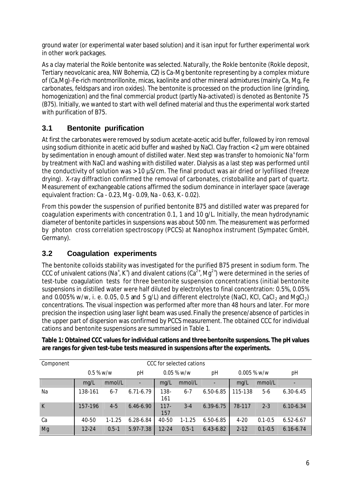ground water (or experimental water based solution) and it is an input for further experimental work in other work packages.

As a clay material the Rokle bentonite was selected. Naturally, the Rokle bentonite (Rokle deposit, Tertiary neovolcanic area, NW Bohemia, CZ) is Ca-Mg bentonite representing by a complex mixture of (Ca,Mg)-Fe-rich montmorillonite, micas, kaolinite and other mineral admixtures (mainly Ca, Mg, Fe carbonates, feldspars and iron oxides). The bentonite is processed on the production line (grinding, homogenization) and the final commercial product (partly Na-activated) is denoted as Bentonite 75 (B75). Initially, we wanted to start with well defined material and thus the experimental work started with purification of B75.

## **3.1 Bentonite purification**

At first the carbonates were removed by sodium acetate-acetic acid buffer, followed by iron removal using sodium dithionite in acetic acid buffer and washed by NaCl. Clay fraction < 2 µm were obtained by sedimentation in enough amount of distilled water. Next step was transfer to homoionic Na<sup>+</sup> form by treatment with NaCl and washing with distilled water. Dialysis as a last step was performed until the conductivity of solution was > 10 µS/cm. The final product was air dried or lyofilised (freeze drying). X-ray diffraction confirmed the removal of carbonates, cristoballite and part of quartz. Measurement of exchangeable cations affirmed the sodium dominance in interlayer space (average equivalent fraction: Ca - 0.23, Mg - 0.09, Na - 0.63, K - 0.02).

From this powder the suspension of purified bentonite B75 and distilled water was prepared for coagulation experiments with concentration 0.1, 1 and 10 g/L. Initially, the mean hydrodynamic diameter of bentonite particles in suspensions was about 500 nm. The measurement was performed by photon cross correlation spectroscopy (PCCS) at Nanophox instrument (Sympatec GmbH, Germany).

## **3.2 Coagulation experiments**

The bentonite colloids stability was investigated for the purified B75 present in sodium form. The CCC of univalent cations (Na<sup>+</sup>, K<sup>+</sup>) and divalent cations (Ca<sup>2+</sup>, Mg<sup>2+</sup>) were determined in the series of test-tube coagulation tests for three bentonite suspension concentrations (initial bentonite suspensions in distilled water were half diluted by electrolytes to final concentration: 0.5%, 0.05% and 0.005% w/w, i. e. 0.05, 0.5 and 5 g/L) and different electrolyte (NaCl, KCl, CaCl, and MgCl<sub>2</sub>) concentrations. The visual inspection was performed after more than 48 hours and later. For more precision the inspection using laser light beam was used. Finally the presence/absence of particles in the upper part of dispersion was confirmed by PCCS measurement. The obtained CCC for individual cations and bentonite suspensions are summarised in Table 1.

| Component    | CCC for selected cations |            |               |                |            |               |               |             |               |
|--------------|--------------------------|------------|---------------|----------------|------------|---------------|---------------|-------------|---------------|
|              | $0.5 %$ w/w              |            | рH            | $0.05 %$ w/w   |            | рH            | $0.005 %$ w/w |             | рH            |
|              | mq/L                     | mmol/L     | ۰             | mg/L           | mmol/L     | ٠             | mq/L          | mmol/L      |               |
| Na           | 138-161                  | $6 - 7$    | $6.71 - 6.79$ | $138 -$<br>161 | $6 - 7$    | $6.50 - 6.85$ | 115-138       | 5-6         | $6.30 - 6.45$ |
| $\mathsf{K}$ | 157-196                  | $4 - 5$    | $6.46 - 6.90$ | $117 -$<br>157 | $3 - 4$    | 6.39-6.75     | 78-117        | $2 - 3$     | $6.10 - 6.34$ |
| Ca           | 40-50                    | $1 - 1.25$ | $6.28 - 6.84$ | 40-50          | $1 - 1.25$ | 6.50-6.85     | $4 - 20$      | $0.1 - 0.5$ | $6.52 - 6.67$ |
| Mg           | $12 - 24$                | $0.5 - 1$  | 5.97-7.38     | $12 - 24$      | $0.5 - 1$  | $6.43 - 6.82$ | $2 - 12$      | $0.1 - 0.5$ | $6.16 - 6.74$ |

**Table 1: Obtained CCC values for individual cations and three bentonite suspensions. The pH values are ranges for given test-tube tests measured in suspensions after the experiments.**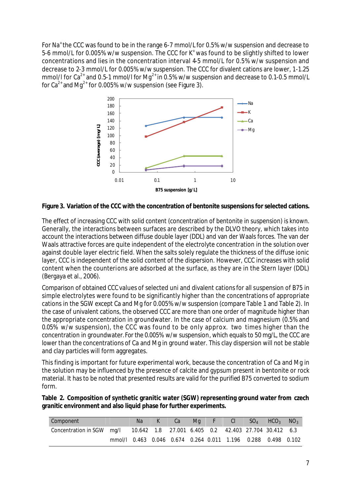For Na<sup>+</sup> the CCC was found to be in the range 6-7 mmol/L for 0.5% w/w suspension and decrease to 5-6 mmol/L for 0.005% w/w suspension. The CCC for K<sup>+</sup> was found to be slightly shifted to lower concentrations and lies in the concentration interval 4-5 mmol/L for 0.5% w/w suspension and decrease to 2-3 mmol/L for 0.005% w/w suspension. The CCC for divalent cations are lower, 1-1.25 mmol/l for  $Ca^{2+}$  and 0.5-1 mmol/l for Mg<sup>2+</sup> in 0.5% w/w suspension and decrease to 0.1-0.5 mmol/L for  $Ca^{2+}$  and Mg<sup>2+</sup> for 0.005% w/w suspension (see Figure 3).



**Figure 3. Variation of the CCC with the concentration of bentonite suspensions for selected cations.**

The effect of increasing CCC with solid content (concentration of bentonite in suspension) is known. Generally, the interactions between surfaces are described by the DLVO theory, which takes into account the interactions between diffuse double layer (DDL) and van der Waals forces. The van der Waals attractive forces are quite independent of the electrolyte concentration in the solution over against double layer electric field. When the salts solely regulate the thickness of the diffuse ionic layer, CCC is independent of the solid content of the dispersion. However, CCC increases with solid content when the counterions are adsorbed at the surface, as they are in the Stern layer (DDL) (Bergaya et al., 2006).

Comparison of obtained CCC values of selected uni and divalent cations for all suspension of B75 in simple electrolytes were found to be significantly higher than the concentrations of appropriate cations in the SGW except Ca and Mg for 0.005% w/w suspension (compare Table 1 and Table 2). In the case of univalent cations, the observed CCC are more than one order of magnitude higher than the appropriate concentration in groundwater. In the case of calcium and magnesium (0.5% and 0.05% w/w suspension), the CCC was found to be only approx. two times higher than the concentration in groundwater. For the 0.005% w/w suspension, which equals to 50 mg/L, the CCC are lower than the concentrations of Ca and Mg in ground water. This clay dispersion will not be stable and clay particles will form aggregates.

This finding is important for future experimental work, because the concentration of Ca and Mg in the solution may be influenced by the presence of calcite and gypsum present in bentonite or rock material. It has to be noted that presented results are valid for the purified B75 converted to sodium form.

| Table 2. Composition of synthetic granitic water (SGW) representing ground water from czech |  |
|---------------------------------------------------------------------------------------------|--|
| granitic environment and also liquid phase for further experiments.                         |  |

| Component                                                                      |                                                              | Na. | Ca | Ma F | $\overline{\phantom{a}}$ $\overline{\phantom{a}}$ $\overline{\phantom{a}}$ $\overline{\phantom{a}}$ $\overline{\phantom{a}}$ $\overline{\phantom{a}}$ $\overline{\phantom{a}}$ $\overline{\phantom{a}}$ $\overline{\phantom{a}}$ $\overline{\phantom{a}}$ $\overline{\phantom{a}}$ $\overline{\phantom{a}}$ $\overline{\phantom{a}}$ $\overline{\phantom{a}}$ $\overline{\phantom{a}}$ $\overline{\phantom{a}}$ $\overline{\phantom{a}}$ $\overline{\phantom{a}}$ $\overline{\$ | $SO_4$ $HCO_3$ | NO <sub>3</sub> |
|--------------------------------------------------------------------------------|--------------------------------------------------------------|-----|----|------|---------------------------------------------------------------------------------------------------------------------------------------------------------------------------------------------------------------------------------------------------------------------------------------------------------------------------------------------------------------------------------------------------------------------------------------------------------------------------------|----------------|-----------------|
| Concentration in SGW mg/l 10.642 1.8 27.001 6.405 0.2 42.403 27.704 30.412 6.3 |                                                              |     |    |      |                                                                                                                                                                                                                                                                                                                                                                                                                                                                                 |                |                 |
|                                                                                | mmol/l 0.463 0.046 0.674 0.264 0.011 1.196 0.288 0.498 0.102 |     |    |      |                                                                                                                                                                                                                                                                                                                                                                                                                                                                                 |                |                 |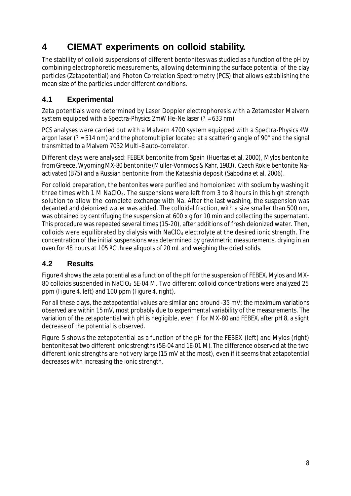# **4 CIEMAT experiments on colloid stability.**

The stability of colloid suspensions of different bentonites was studied as a function of the pH by combining electrophoretic measurements, allowing determining the surface potential of the clay particles (Zetapotential) and Photon Correlation Spectrometry (PCS) that allows establishing the mean size of the particles under different conditions.

## **4.1 Experimental**

Zeta potentials were determined by Laser Doppler electrophoresis with a Zetamaster Malvern system equipped with a Spectra-Physics 2mW He-Ne laser (? = 633 nm).

PCS analyses were carried out with a Malvern 4700 system equipped with a Spectra-Physics 4W argon laser (? = 514 nm) and the photomultiplier located at a scattering angle of 90° and the signal transmitted to a Malvern 7032 Multi-8 auto-correlator.

Different clays were analysed: FEBEX bentonite from Spain (Huertas et al, 2000), Mylos bentonite fromGreece, Wyoming MX-80 bentonite (Müller-Vonmoos & Kahr, 1983), Czech Rokle bentonite Naactivated (B75) and a Russian bentonite from the Katasshia deposit (Sabodina et al, 2006).

For colloid preparation, the bentonites were purified and homoionized with sodium by washing it three times with 1 M NaCIO<sub>4</sub>. The suspensions were left from 3 to 8 hours in this high strength solution to allow the complete exchange with Na. After the last washing, the suspension was decanted and deionized water was added. The colloidal fraction, with a size smaller than 500 nm, was obtained by centrifuging the suspension at 600 x g for 10 min and collecting the supernatant. This procedure was repeated several times (15-20), after additions of fresh deionized water. Then, colloids were equilibrated by dialysis with NaCIO<sub>4</sub> electrolyte at the desired ionic strength. The concentration of the initial suspensions was determined by gravimetric measurements, drying in an oven for 48 hours at 105 °C three aliquots of 20 mL and weighing the dried solids.

## **4.2 Results**

Figure 4 shows the zeta potential as a function of the pH for the suspension of FEBEX, Mylos and MX-80 colloids suspended in NaClO<sub>4</sub> 5E-04 M. Two different colloid concentrations were analyzed 25 ppm (Figure 4, left) and 100 ppm (Figure 4, right).

For all these clays, the zetapotential values are similar and around -35 mV; the maximum variations observed are within 15 mV, most probably due to experimental variability of the measurements. The variation of the zetapotential with pH is negligible, even if for MX-80 and FEBEX, after pH 8, a slight decrease of the potential is observed.

Figure 5 shows the zetapotential as a function of the pH for the FEBEX (left) and Mylos (right) bentonites at two different ionic strengths (5E-04 and 1E-01 M). The difference observed at the two different ionic strengths are not very large (15 mV at the most), even if it seems that zetapotential decreases with increasing the ionic strength.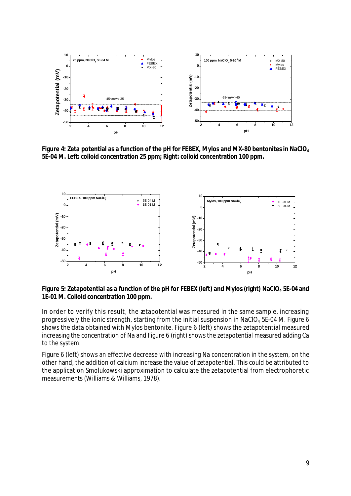

**Figure 4: Zeta potential as a function of the pH for FEBEX, Mylos and MX-80 bentonitesin NaClO<sup>4</sup> 5E-04 M. Left: colloid concentration 25 ppm; Right: colloid concentration 100 ppm.**



**Figure 5: Zetapotential as a function of the pH for FEBEX (left) and Mylos (right) NaClO<sup>4</sup> 5E-04 and 1E-01 M. Colloid concentration 100 ppm.**

In order to verify this result, the zetapotential was measured in the same sample, increasing progressively the ionic strength, starting from the initial suspension in NaClO<sub>4</sub> 5E-04 M. Figure 6 shows the data obtained with Mylos bentonite. Figure 6 (left) shows the zetapotential measured increasing the concentration of Na and Figure 6 (right) shows the zetapotential measured adding Ca to the system.

Figure 6 (left) shows an effective decrease with increasing Na concentration in the system, on the other hand, the addition of calcium increase the value of zetapotential. This could be attributed to the application Smolukowski approximation to calculate the zetapotential from electrophoretic measurements (Williams & Williams, 1978).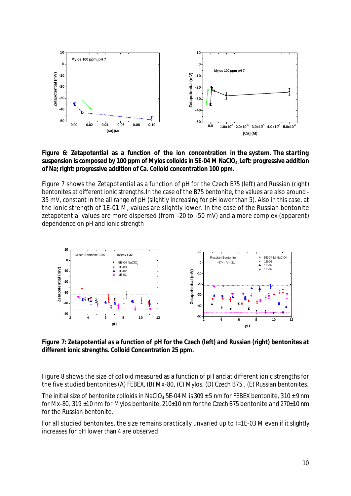

**Figure 6: Zetapotential as a function of the ion concentration in the system. The starting suspension is composed by 100 ppm of Mylos colloids in 5E-04 M NaClO4. Left: progressive addition of Na; right: progressive addition of Ca. Colloid concentration 100 ppm.**

Figure 7 shows the Zetapotential as a function of pH for the Czech B75 (left) and Russian (right) bentonites at different ionic strengths. In the case of the B75 bentonite, the values are also around - 35 mV, constant in the all range of pH (slightly increasing for pH lower than 5). Also in this case, at the ionic strength of 1E-01 M, values are slightly lower. In the case of the Russian bentonite zetapotential values are more dispersed (from -20 to -50 mV) and a more complex (apparent) dependence on pH and ionic strength



**Figure 7: Zetapotential as a function of pH for the Czech (left) and Russian (right) bentonites at different ionic strengths. Colloid Concentration 25 ppm.**

Figure 8 shows the size of colloid measured as a function of pH and at different ionic strengths for the five studied bentonites (A) FEBEX, (B) Mx-80, (C) Mylos, (D) Czech B75 , (E) Russian bentonites.

The initial size of bentonite colloids in NaClO<sub>4</sub> 5E-04 M is 309  $\pm$  5 nm for FEBEX bentonite, 310  $\pm$  9 nm for Mx-80, 319  $\pm$ 10 nm for Mylos bentonite, 210 $\pm$ 10 nm for the Czech B75 bentonite and 270 $\pm$ 10 nm for the Russian bentonite.

For all studied bentonites, the size remains practically unvaried up to I=1E-03 M even if it slightly increases for pH lower than 4 are observed.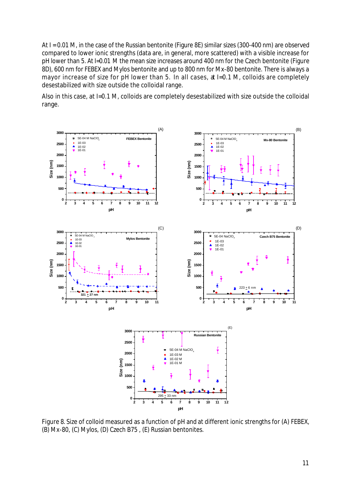At I = 0.01 M, in the case of the Russian bentonite (Figure 8E) similar sizes (300-400 nm) are observed compared to lower ionic strengths (data are, in general, more scattered) with a visible increase for pH lower than 5. At I=0.01 M the mean size increases around 400 nm for the Czech bentonite (Figure 8D), 600 nm for FEBEX and Mylos bentonite and up to 800 nm for Mx-80 bentonite. There is always a mayor increase of size for pH lower than 5. In all cases, at I=0.1 M, colloids are completely desestabilized with size outside the colloidal range.

Also in this case, at I=0.1 M, colloids are completely desestabilized with size outside the colloidal range.



Figure 8. Size of colloid measured as a function of pH and at different ionic strengths for (A) FEBEX, (B) Mx-80, (C) Mylos, (D) Czech B75 , (E) Russian bentonites.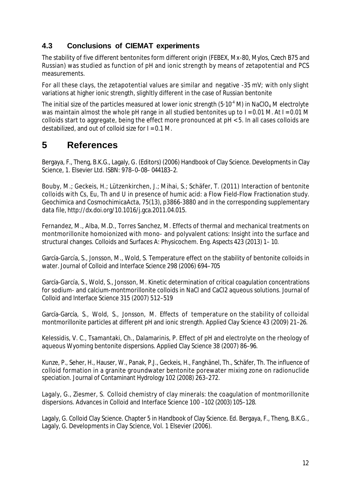### **4.3 Conclusions of CIEMAT experiments**

The stability of five different bentonites form different origin (FEBEX, Mx-80, Mylos, Czech B75 and Russian) was studied as function of pH and ionic strength by means of zetapotential and PCS measurements.

For all these clays, the zetapotential values are similar and negative -35 mV; with only slight variations at higher ionic strength, slighltly different in the case of Russian bentonite

The initial size of the particles measured at lower ionic strength (5-10<sup>-4</sup> M) in NaClO<sub>4</sub> M electrolyte was maintain almost the whole pH range in all studied bentonites up to I = 0.01 M. At I = 0.01 M colloids start to aggregate, being the effect more pronounced at pH < 5. In all cases colloids are destabilized, and out of colloid size for  $I = 0.1$  M.

## **5 References**

Bergaya, F., Theng, B.K.G., Lagaly, G. (Editors) (2006) Handbook of Clay Science. Developments in Clay Science, 1. Elsevier Ltd. ISBN: 978–0–08– 044183–2.

Bouby, M.; Geckeis, H.; Lützenkirchen, J.; Mihai, S.; Schäfer, T. (2011) Interaction of bentonite colloids with Cs, Eu, Th and U in presence of humic acid: a Flow Field-Flow Fractionation study. Geochimica and CosmochimicaActa, 75(13), p3866-3880 and in the corresponding supplementary data file, http://dx.doi.org/10.1016/j.gca.2011.04.015.

Fernandez, M., Alba, M.D., Torres Sanchez, M. Effects of thermal and mechanical treatments on montmorillonite homoionized with mono- and polyvalent cations: Insight into the surface and structural changes. Colloids and Surfaces A: Physicochem. Eng. Aspects 423 (2013) 1– 10.

García-García, S., Jonsson, M., Wold, S. Temperature effect on the stability of bentonite colloids in water. Journal of Colloid and Interface Science 298 (2006) 694–705

García-García, S., Wold, S., Jonsson, M. Kinetic determination of critical coagulation concentrations for sodium- and calcium-montmorillonite colloids in NaCl and CaCl2 aqueous solutions. Journal of Colloid and Interface Science 315 (2007) 512–519

García-García, S., Wold, S., Jonsson, M. Effects of temperature on the stability of colloidal montmorillonite particles at different pH and ionic strength. Applied Clay Science 43 (2009) 21–26.

Kelessidis, V. C., Tsamantaki, Ch., Dalamarinis, P. Effect of pH and electrolyte on the rheology of aqueous Wyoming bentonite dispersions. Applied Clay Science 38 (2007) 86–96.

Kunze, P., Seher, H., Hauser, W., Panak, P.J., Geckeis, H., Fanghänel, Th., Schäfer, Th. The influence of colloid formation in a granite groundwater bentonite porewater mixing zone on radionuclide speciation. Journal of Contaminant Hydrology 102 (2008) 263–272.

Lagaly, G., Ziesmer, S. Colloid chemistry of clay minerals: the coagulation of montmorillonite dispersions. Advances in Colloid and Interface Science 100 –102 (2003) 105–128.

Lagaly, G. Colloid Clay Science. Chapter 5 in Handbook of Clay Science. Ed. Bergaya, F., Theng, B.K.G., Lagaly, G. Developments in Clay Science, Vol. 1 Elsevier (2006).